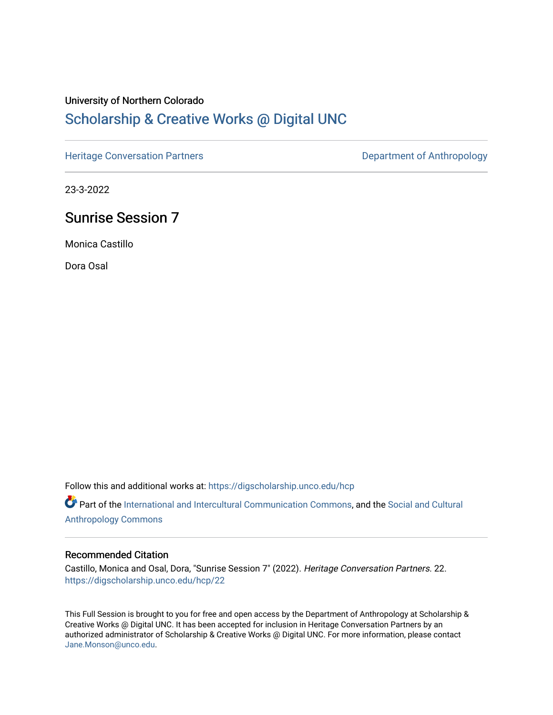### University of Northern Colorado

## [Scholarship & Creative Works @ Digital UNC](https://digscholarship.unco.edu/)

[Heritage Conversation Partners](https://digscholarship.unco.edu/hcp) **Department of Anthropology** 

23-3-2022

## Sunrise Session 7

Monica Castillo

Dora Osal

Follow this and additional works at: [https://digscholarship.unco.edu/hcp](https://digscholarship.unco.edu/hcp?utm_source=digscholarship.unco.edu%2Fhcp%2F22&utm_medium=PDF&utm_campaign=PDFCoverPages) 

Part of the [International and Intercultural Communication Commons,](http://network.bepress.com/hgg/discipline/331?utm_source=digscholarship.unco.edu%2Fhcp%2F22&utm_medium=PDF&utm_campaign=PDFCoverPages) and the Social and Cultural [Anthropology Commons](http://network.bepress.com/hgg/discipline/323?utm_source=digscholarship.unco.edu%2Fhcp%2F22&utm_medium=PDF&utm_campaign=PDFCoverPages)

#### Recommended Citation

Castillo, Monica and Osal, Dora, "Sunrise Session 7" (2022). Heritage Conversation Partners. 22. [https://digscholarship.unco.edu/hcp/22](https://digscholarship.unco.edu/hcp/22?utm_source=digscholarship.unco.edu%2Fhcp%2F22&utm_medium=PDF&utm_campaign=PDFCoverPages) 

This Full Session is brought to you for free and open access by the Department of Anthropology at Scholarship & Creative Works @ Digital UNC. It has been accepted for inclusion in Heritage Conversation Partners by an authorized administrator of Scholarship & Creative Works @ Digital UNC. For more information, please contact [Jane.Monson@unco.edu.](mailto:Jane.Monson@unco.edu)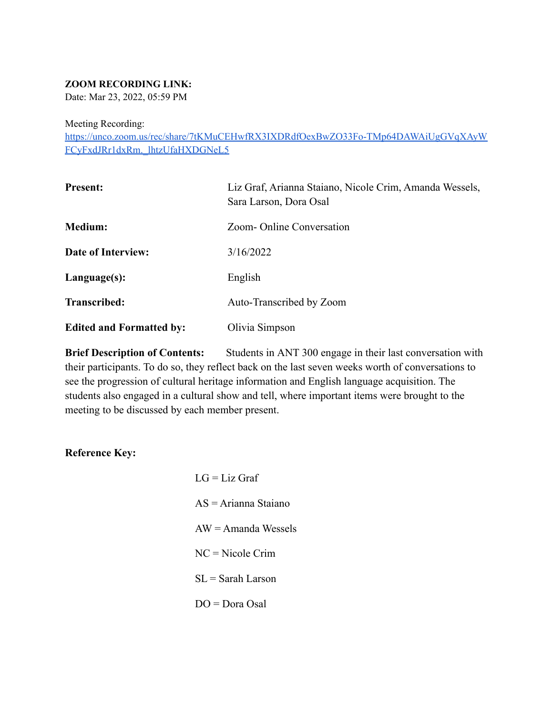#### **ZOOM RECORDING LINK:**

Date: Mar 23, 2022, 05:59 PM

Meeting Recording:

[https://unco.zoom.us/rec/share/7tKMuCEHwfRX3IXDRdfOexBwZO33Fo-TMp64DAWAiUgGVqXAyW](https://unco.zoom.us/rec/share/7tKMuCEHwfRX3IXDRdfOexBwZO33Fo-TMp64DAWAiUgGVqXAyWFCyFxdJRr1dxRm._lhtzUfaHXDGNeL5) [FCyFxdJRr1dxRm.\\_lhtzUfaHXDGNeL5](https://unco.zoom.us/rec/share/7tKMuCEHwfRX3IXDRdfOexBwZO33Fo-TMp64DAWAiUgGVqXAyWFCyFxdJRr1dxRm._lhtzUfaHXDGNeL5)

| <b>Present:</b>                 | Liz Graf, Arianna Staiano, Nicole Crim, Amanda Wessels,<br>Sara Larson, Dora Osal |
|---------------------------------|-----------------------------------------------------------------------------------|
| <b>Medium:</b>                  | Zoom-Online Conversation                                                          |
| Date of Interview:              | 3/16/2022                                                                         |
| Language(s):                    | English                                                                           |
| Transcribed:                    | Auto-Transcribed by Zoom                                                          |
| <b>Edited and Formatted by:</b> | Olivia Simpson                                                                    |

**Brief Description of Contents:** Students in ANT 300 engage in their last conversation with their participants. To do so, they reflect back on the last seven weeks worth of conversations to see the progression of cultural heritage information and English language acquisition. The students also engaged in a cultural show and tell, where important items were brought to the meeting to be discussed by each member present.

**Reference Key:**

| $LG = Liz$ Graf        |
|------------------------|
| $AS = Arianna Staiano$ |
| $AW = A$ manda Wessels |
| $NC = Nicole Crim$     |
| $SL =$ Sarah Larson    |
| $DO = Dora Osal$       |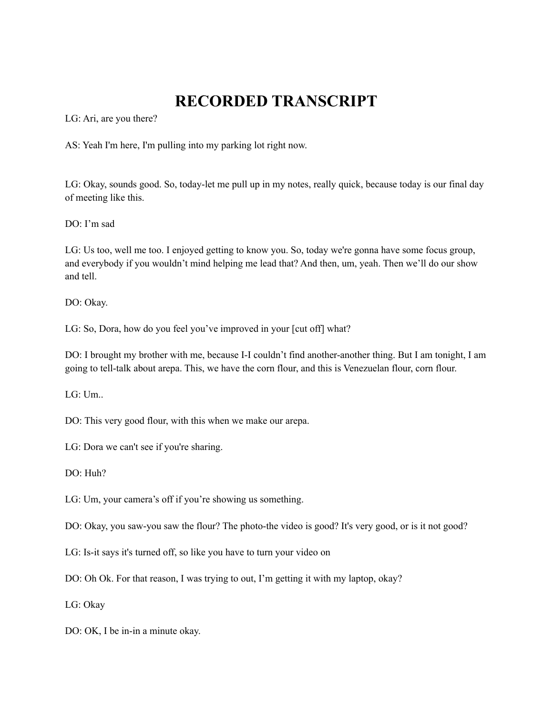# **RECORDED TRANSCRIPT**

LG: Ari, are you there?

AS: Yeah I'm here, I'm pulling into my parking lot right now.

LG: Okay, sounds good. So, today-let me pull up in my notes, really quick, because today is our final day of meeting like this.

DO: I'm sad

LG: Us too, well me too. I enjoyed getting to know you. So, today we're gonna have some focus group, and everybody if you wouldn't mind helping me lead that? And then, um, yeah. Then we'll do our show and tell.

DO: Okay.

LG: So, Dora, how do you feel you've improved in your [cut off] what?

DO: I brought my brother with me, because I-I couldn't find another-another thing. But I am tonight, I am going to tell-talk about arepa. This, we have the corn flour, and this is Venezuelan flour, corn flour.

LG: Um..

DO: This very good flour, with this when we make our arepa.

LG: Dora we can't see if you're sharing.

DO: Huh?

LG: Um, your camera's off if you're showing us something.

DO: Okay, you saw-you saw the flour? The photo-the video is good? It's very good, or is it not good?

LG: Is-it says it's turned off, so like you have to turn your video on

DO: Oh Ok. For that reason, I was trying to out, I'm getting it with my laptop, okay?

LG: Okay

DO: OK, I be in-in a minute okay.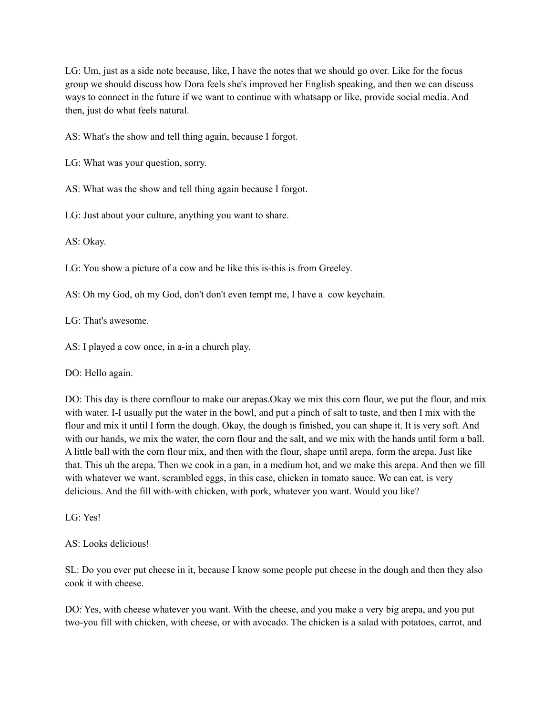LG: Um, just as a side note because, like, I have the notes that we should go over. Like for the focus group we should discuss how Dora feels she's improved her English speaking, and then we can discuss ways to connect in the future if we want to continue with whatsapp or like, provide social media. And then, just do what feels natural.

AS: What's the show and tell thing again, because I forgot.

LG: What was your question, sorry.

AS: What was the show and tell thing again because I forgot.

LG: Just about your culture, anything you want to share.

AS: Okay.

LG: You show a picture of a cow and be like this is-this is from Greeley.

AS: Oh my God, oh my God, don't don't even tempt me, I have a cow keychain.

LG: That's awesome.

AS: I played a cow once, in a-in a church play.

DO: Hello again.

DO: This day is there cornflour to make our arepas.Okay we mix this corn flour, we put the flour, and mix with water. I-I usually put the water in the bowl, and put a pinch of salt to taste, and then I mix with the flour and mix it until I form the dough. Okay, the dough is finished, you can shape it. It is very soft. And with our hands, we mix the water, the corn flour and the salt, and we mix with the hands until form a ball. A little ball with the corn flour mix, and then with the flour, shape until arepa, form the arepa. Just like that. This uh the arepa. Then we cook in a pan, in a medium hot, and we make this arepa. And then we fill with whatever we want, scrambled eggs, in this case, chicken in tomato sauce. We can eat, is very delicious. And the fill with-with chicken, with pork, whatever you want. Would you like?

LG: Yes!

AS: Looks delicious!

SL: Do you ever put cheese in it, because I know some people put cheese in the dough and then they also cook it with cheese.

DO: Yes, with cheese whatever you want. With the cheese, and you make a very big arepa, and you put two-you fill with chicken, with cheese, or with avocado. The chicken is a salad with potatoes, carrot, and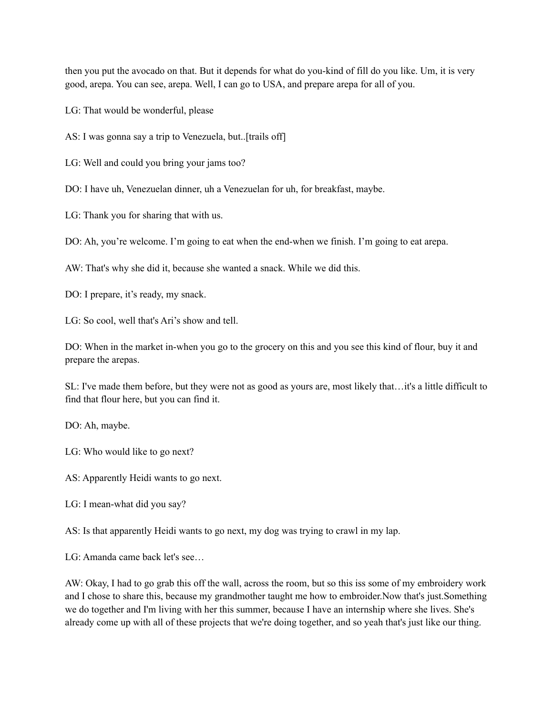then you put the avocado on that. But it depends for what do you-kind of fill do you like. Um, it is very good, arepa. You can see, arepa. Well, I can go to USA, and prepare arepa for all of you.

LG: That would be wonderful, please

AS: I was gonna say a trip to Venezuela, but..[trails off]

LG: Well and could you bring your jams too?

DO: I have uh, Venezuelan dinner, uh a Venezuelan for uh, for breakfast, maybe.

LG: Thank you for sharing that with us.

DO: Ah, you're welcome. I'm going to eat when the end-when we finish. I'm going to eat arepa.

AW: That's why she did it, because she wanted a snack. While we did this.

DO: I prepare, it's ready, my snack.

LG: So cool, well that's Ari's show and tell.

DO: When in the market in-when you go to the grocery on this and you see this kind of flour, buy it and prepare the arepas.

SL: I've made them before, but they were not as good as yours are, most likely that…it's a little difficult to find that flour here, but you can find it.

DO: Ah, maybe.

LG: Who would like to go next?

AS: Apparently Heidi wants to go next.

LG: I mean-what did you say?

AS: Is that apparently Heidi wants to go next, my dog was trying to crawl in my lap.

LG: Amanda came back let's see…

AW: Okay, I had to go grab this off the wall, across the room, but so this iss some of my embroidery work and I chose to share this, because my grandmother taught me how to embroider.Now that's just.Something we do together and I'm living with her this summer, because I have an internship where she lives. She's already come up with all of these projects that we're doing together, and so yeah that's just like our thing.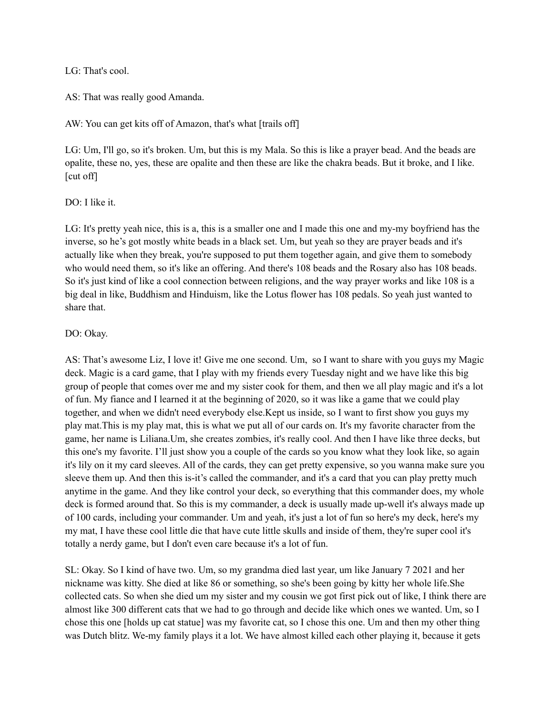LG: That's cool.

AS: That was really good Amanda.

AW: You can get kits off of Amazon, that's what [trails off]

LG: Um, I'll go, so it's broken. Um, but this is my Mala. So this is like a prayer bead. And the beads are opalite, these no, yes, these are opalite and then these are like the chakra beads. But it broke, and I like. [cut off]

#### DO: I like it.

LG: It's pretty yeah nice, this is a, this is a smaller one and I made this one and my-my boyfriend has the inverse, so he's got mostly white beads in a black set. Um, but yeah so they are prayer beads and it's actually like when they break, you're supposed to put them together again, and give them to somebody who would need them, so it's like an offering. And there's 108 beads and the Rosary also has 108 beads. So it's just kind of like a cool connection between religions, and the way prayer works and like 108 is a big deal in like, Buddhism and Hinduism, like the Lotus flower has 108 pedals. So yeah just wanted to share that.

#### DO: Okay.

AS: That's awesome Liz, I love it! Give me one second. Um, so I want to share with you guys my Magic deck. Magic is a card game, that I play with my friends every Tuesday night and we have like this big group of people that comes over me and my sister cook for them, and then we all play magic and it's a lot of fun. My fiance and I learned it at the beginning of 2020, so it was like a game that we could play together, and when we didn't need everybody else.Kept us inside, so I want to first show you guys my play mat.This is my play mat, this is what we put all of our cards on. It's my favorite character from the game, her name is Liliana.Um, she creates zombies, it's really cool. And then I have like three decks, but this one's my favorite. I'll just show you a couple of the cards so you know what they look like, so again it's lily on it my card sleeves. All of the cards, they can get pretty expensive, so you wanna make sure you sleeve them up. And then this is-it's called the commander, and it's a card that you can play pretty much anytime in the game. And they like control your deck, so everything that this commander does, my whole deck is formed around that. So this is my commander, a deck is usually made up-well it's always made up of 100 cards, including your commander. Um and yeah, it's just a lot of fun so here's my deck, here's my my mat, I have these cool little die that have cute little skulls and inside of them, they're super cool it's totally a nerdy game, but I don't even care because it's a lot of fun.

SL: Okay. So I kind of have two. Um, so my grandma died last year, um like January 7 2021 and her nickname was kitty. She died at like 86 or something, so she's been going by kitty her whole life.She collected cats. So when she died um my sister and my cousin we got first pick out of like, I think there are almost like 300 different cats that we had to go through and decide like which ones we wanted. Um, so I chose this one [holds up cat statue] was my favorite cat, so I chose this one. Um and then my other thing was Dutch blitz. We-my family plays it a lot. We have almost killed each other playing it, because it gets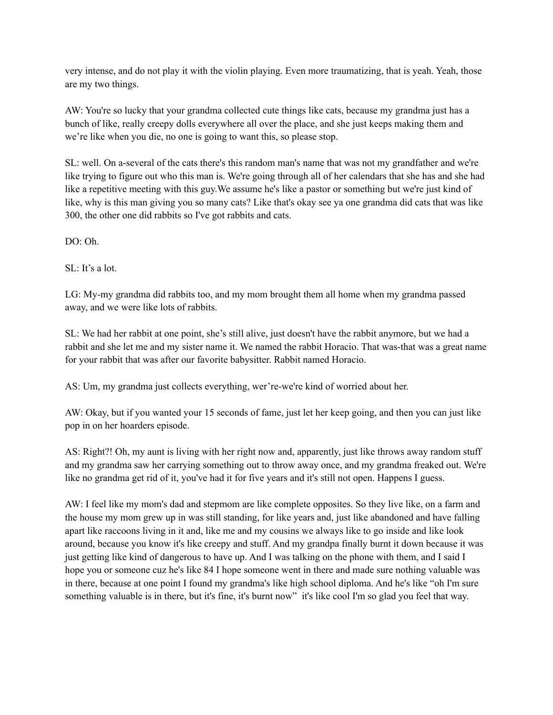very intense, and do not play it with the violin playing. Even more traumatizing, that is yeah. Yeah, those are my two things.

AW: You're so lucky that your grandma collected cute things like cats, because my grandma just has a bunch of like, really creepy dolls everywhere all over the place, and she just keeps making them and we're like when you die, no one is going to want this, so please stop.

SL: well. On a-several of the cats there's this random man's name that was not my grandfather and we're like trying to figure out who this man is. We're going through all of her calendars that she has and she had like a repetitive meeting with this guy.We assume he's like a pastor or something but we're just kind of like, why is this man giving you so many cats? Like that's okay see ya one grandma did cats that was like 300, the other one did rabbits so I've got rabbits and cats.

DO: Oh.

SL: It's a lot.

LG: My-my grandma did rabbits too, and my mom brought them all home when my grandma passed away, and we were like lots of rabbits.

SL: We had her rabbit at one point, she's still alive, just doesn't have the rabbit anymore, but we had a rabbit and she let me and my sister name it. We named the rabbit Horacio. That was-that was a great name for your rabbit that was after our favorite babysitter. Rabbit named Horacio.

AS: Um, my grandma just collects everything, wer're-we're kind of worried about her.

AW: Okay, but if you wanted your 15 seconds of fame, just let her keep going, and then you can just like pop in on her hoarders episode.

AS: Right?! Oh, my aunt is living with her right now and, apparently, just like throws away random stuff and my grandma saw her carrying something out to throw away once, and my grandma freaked out. We're like no grandma get rid of it, you've had it for five years and it's still not open. Happens I guess.

AW: I feel like my mom's dad and stepmom are like complete opposites. So they live like, on a farm and the house my mom grew up in was still standing, for like years and, just like abandoned and have falling apart like raccoons living in it and, like me and my cousins we always like to go inside and like look around, because you know it's like creepy and stuff. And my grandpa finally burnt it down because it was just getting like kind of dangerous to have up. And I was talking on the phone with them, and I said I hope you or someone cuz he's like 84 I hope someone went in there and made sure nothing valuable was in there, because at one point I found my grandma's like high school diploma. And he's like "oh I'm sure something valuable is in there, but it's fine, it's burnt now" it's like cool I'm so glad you feel that way.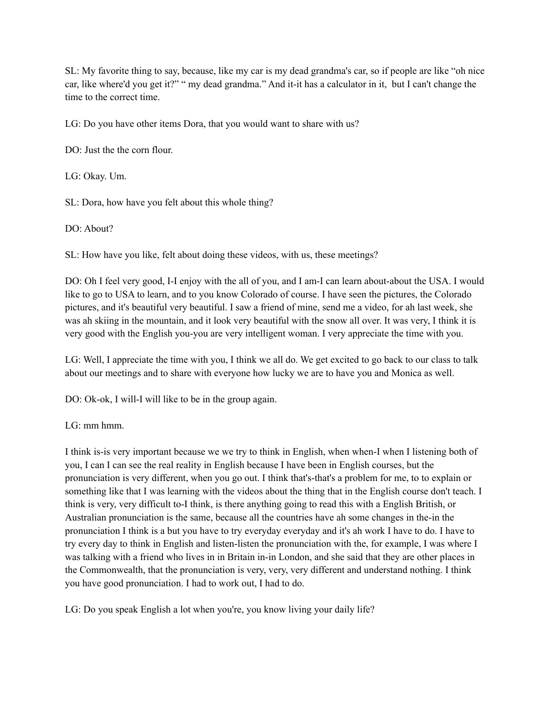SL: My favorite thing to say, because, like my car is my dead grandma's car, so if people are like "oh nice car, like where'd you get it?" " my dead grandma." And it-it has a calculator in it, but I can't change the time to the correct time.

LG: Do you have other items Dora, that you would want to share with us?

DO: Just the the corn flour.

LG: Okay. Um.

SL: Dora, how have you felt about this whole thing?

DO: About?

SL: How have you like, felt about doing these videos, with us, these meetings?

DO: Oh I feel very good, I-I enjoy with the all of you, and I am-I can learn about-about the USA. I would like to go to USA to learn, and to you know Colorado of course. I have seen the pictures, the Colorado pictures, and it's beautiful very beautiful. I saw a friend of mine, send me a video, for ah last week, she was ah skiing in the mountain, and it look very beautiful with the snow all over. It was very, I think it is very good with the English you-you are very intelligent woman. I very appreciate the time with you.

LG: Well, I appreciate the time with you, I think we all do. We get excited to go back to our class to talk about our meetings and to share with everyone how lucky we are to have you and Monica as well.

DO: Ok-ok, I will-I will like to be in the group again.

LG: mm hmm.

I think is-is very important because we we try to think in English, when when-I when I listening both of you, I can I can see the real reality in English because I have been in English courses, but the pronunciation is very different, when you go out. I think that's-that's a problem for me, to to explain or something like that I was learning with the videos about the thing that in the English course don't teach. I think is very, very difficult to-I think, is there anything going to read this with a English British, or Australian pronunciation is the same, because all the countries have ah some changes in the-in the pronunciation I think is a but you have to try everyday everyday and it's ah work I have to do. I have to try every day to think in English and listen-listen the pronunciation with the, for example, I was where I was talking with a friend who lives in in Britain in-in London, and she said that they are other places in the Commonwealth, that the pronunciation is very, very, very different and understand nothing. I think you have good pronunciation. I had to work out, I had to do.

LG: Do you speak English a lot when you're, you know living your daily life?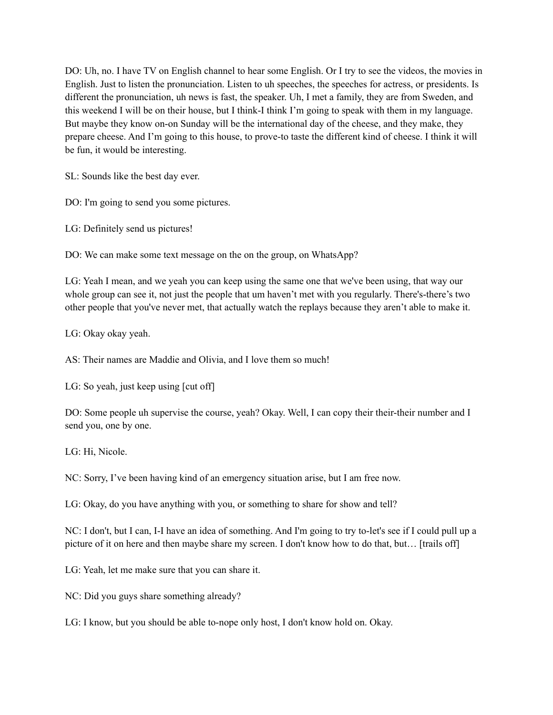DO: Uh, no. I have TV on English channel to hear some English. Or I try to see the videos, the movies in English. Just to listen the pronunciation. Listen to uh speeches, the speeches for actress, or presidents. Is different the pronunciation, uh news is fast, the speaker. Uh, I met a family, they are from Sweden, and this weekend I will be on their house, but I think-I think I'm going to speak with them in my language. But maybe they know on-on Sunday will be the international day of the cheese, and they make, they prepare cheese. And I'm going to this house, to prove-to taste the different kind of cheese. I think it will be fun, it would be interesting.

SL: Sounds like the best day ever.

DO: I'm going to send you some pictures.

LG: Definitely send us pictures!

DO: We can make some text message on the on the group, on WhatsApp?

LG: Yeah I mean, and we yeah you can keep using the same one that we've been using, that way our whole group can see it, not just the people that um haven't met with you regularly. There's-there's two other people that you've never met, that actually watch the replays because they aren't able to make it.

LG: Okay okay yeah.

AS: Their names are Maddie and Olivia, and I love them so much!

LG: So yeah, just keep using [cut off]

DO: Some people uh supervise the course, yeah? Okay. Well, I can copy their their-their number and I send you, one by one.

LG: Hi, Nicole.

NC: Sorry, I've been having kind of an emergency situation arise, but I am free now.

LG: Okay, do you have anything with you, or something to share for show and tell?

NC: I don't, but I can, I-I have an idea of something. And I'm going to try to-let's see if I could pull up a picture of it on here and then maybe share my screen. I don't know how to do that, but... [trails off]

LG: Yeah, let me make sure that you can share it.

NC: Did you guys share something already?

LG: I know, but you should be able to-nope only host, I don't know hold on. Okay.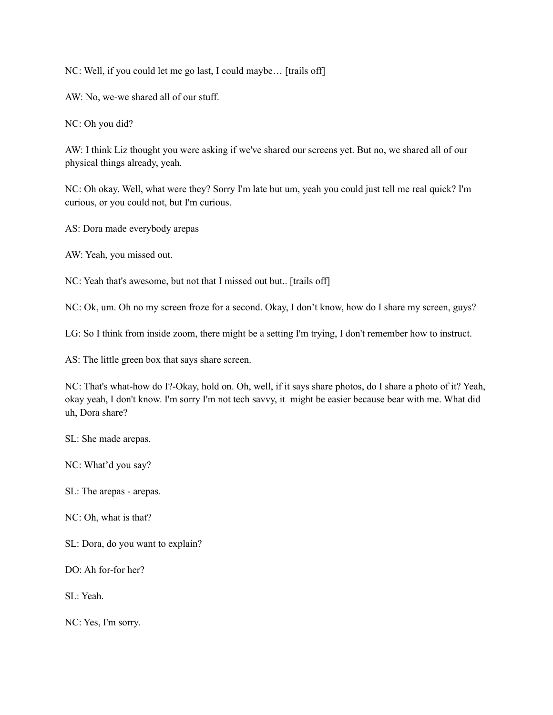NC: Well, if you could let me go last, I could maybe… [trails off]

AW: No, we-we shared all of our stuff.

NC: Oh you did?

AW: I think Liz thought you were asking if we've shared our screens yet. But no, we shared all of our physical things already, yeah.

NC: Oh okay. Well, what were they? Sorry I'm late but um, yeah you could just tell me real quick? I'm curious, or you could not, but I'm curious.

AS: Dora made everybody arepas

AW: Yeah, you missed out.

NC: Yeah that's awesome, but not that I missed out but.. [trails off]

NC: Ok, um. Oh no my screen froze for a second. Okay, I don't know, how do I share my screen, guys?

LG: So I think from inside zoom, there might be a setting I'm trying, I don't remember how to instruct.

AS: The little green box that says share screen.

NC: That's what-how do I?-Okay, hold on. Oh, well, if it says share photos, do I share a photo of it? Yeah, okay yeah, I don't know. I'm sorry I'm not tech savvy, it might be easier because bear with me. What did uh, Dora share?

SL: She made arepas.

NC: What'd you say?

SL: The arepas - arepas.

NC: Oh, what is that?

SL: Dora, do you want to explain?

DO: Ah for-for her?

SL: Yeah.

NC: Yes, I'm sorry.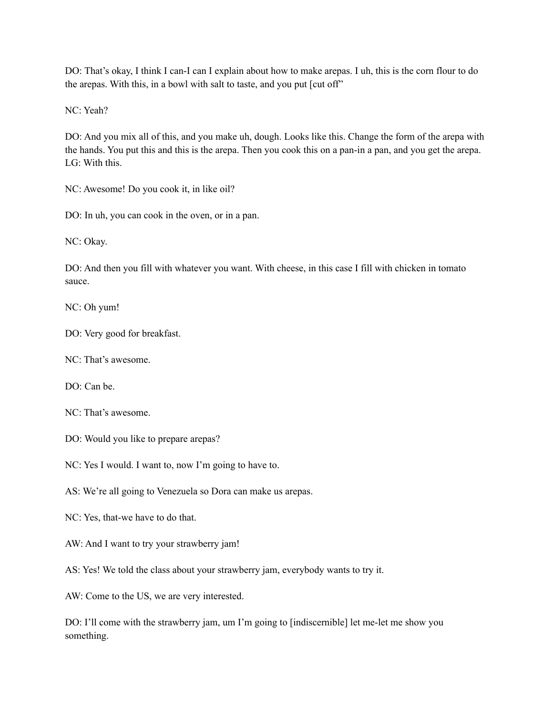DO: That's okay, I think I can-I can I explain about how to make arepas. I uh, this is the corn flour to do the arepas. With this, in a bowl with salt to taste, and you put [cut off"

NC: Yeah?

DO: And you mix all of this, and you make uh, dough. Looks like this. Change the form of the arepa with the hands. You put this and this is the arepa. Then you cook this on a pan-in a pan, and you get the arepa.  $LG:$  With this.

NC: Awesome! Do you cook it, in like oil?

DO: In uh, you can cook in the oven, or in a pan.

NC: Okay.

DO: And then you fill with whatever you want. With cheese, in this case I fill with chicken in tomato sauce.

NC: Oh yum!

DO: Very good for breakfast.

NC: That's awesome.

DO: Can be.

NC: That's awesome.

DO: Would you like to prepare arepas?

NC: Yes I would. I want to, now I'm going to have to.

AS: We're all going to Venezuela so Dora can make us arepas.

NC: Yes, that-we have to do that.

AW: And I want to try your strawberry jam!

AS: Yes! We told the class about your strawberry jam, everybody wants to try it.

AW: Come to the US, we are very interested.

DO: I'll come with the strawberry jam, um I'm going to [indiscernible] let me-let me show you something.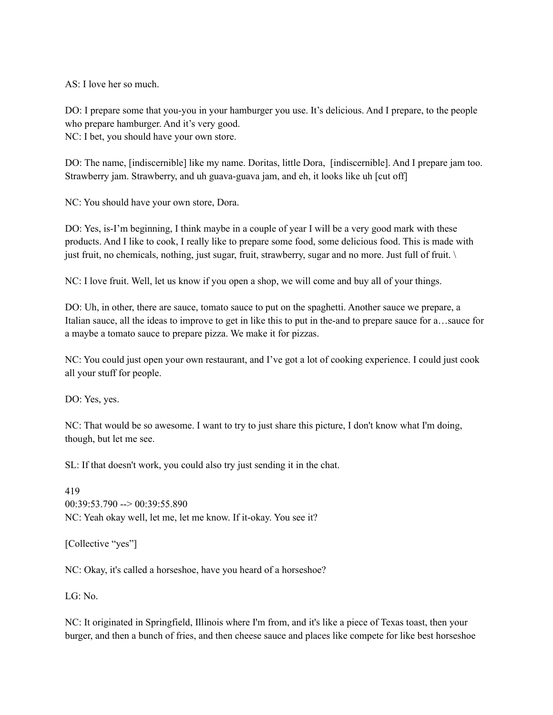AS: I love her so much.

DO: I prepare some that you-you in your hamburger you use. It's delicious. And I prepare, to the people who prepare hamburger. And it's very good.

NC: I bet, you should have your own store.

DO: The name, [indiscernible] like my name. Doritas, little Dora, [indiscernible]. And I prepare jam too. Strawberry jam. Strawberry, and uh guava-guava jam, and eh, it looks like uh [cut off]

NC: You should have your own store, Dora.

DO: Yes, is-I'm beginning, I think maybe in a couple of year I will be a very good mark with these products. And I like to cook, I really like to prepare some food, some delicious food. This is made with just fruit, no chemicals, nothing, just sugar, fruit, strawberry, sugar and no more. Just full of fruit. \

NC: I love fruit. Well, let us know if you open a shop, we will come and buy all of your things.

DO: Uh, in other, there are sauce, tomato sauce to put on the spaghetti. Another sauce we prepare, a Italian sauce, all the ideas to improve to get in like this to put in the-and to prepare sauce for a…sauce for a maybe a tomato sauce to prepare pizza. We make it for pizzas.

NC: You could just open your own restaurant, and I've got a lot of cooking experience. I could just cook all your stuff for people.

DO: Yes, yes.

NC: That would be so awesome. I want to try to just share this picture, I don't know what I'm doing, though, but let me see.

SL: If that doesn't work, you could also try just sending it in the chat.

419 00:39:53.790 --> 00:39:55.890 NC: Yeah okay well, let me, let me know. If it-okay. You see it?

[Collective "yes"]

NC: Okay, it's called a horseshoe, have you heard of a horseshoe?

LG: No.

NC: It originated in Springfield, Illinois where I'm from, and it's like a piece of Texas toast, then your burger, and then a bunch of fries, and then cheese sauce and places like compete for like best horseshoe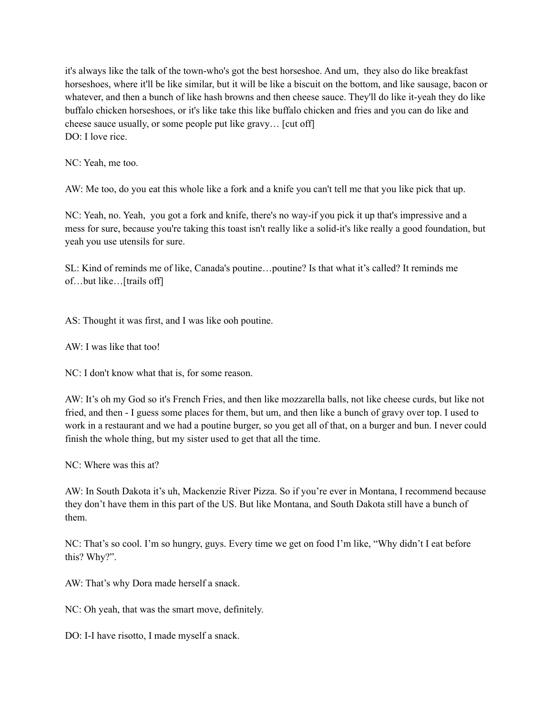it's always like the talk of the town-who's got the best horseshoe. And um, they also do like breakfast horseshoes, where it'll be like similar, but it will be like a biscuit on the bottom, and like sausage, bacon or whatever, and then a bunch of like hash browns and then cheese sauce. They'll do like it-yeah they do like buffalo chicken horseshoes, or it's like take this like buffalo chicken and fries and you can do like and cheese sauce usually, or some people put like gravy… [cut off] DO: I love rice.

NC: Yeah, me too.

AW: Me too, do you eat this whole like a fork and a knife you can't tell me that you like pick that up.

NC: Yeah, no. Yeah, you got a fork and knife, there's no way-if you pick it up that's impressive and a mess for sure, because you're taking this toast isn't really like a solid-it's like really a good foundation, but yeah you use utensils for sure.

SL: Kind of reminds me of like, Canada's poutine…poutine? Is that what it's called? It reminds me of…but like…[trails off]

AS: Thought it was first, and I was like ooh poutine.

AW: I was like that too!

NC: I don't know what that is, for some reason.

AW: It's oh my God so it's French Fries, and then like mozzarella balls, not like cheese curds, but like not fried, and then - I guess some places for them, but um, and then like a bunch of gravy over top. I used to work in a restaurant and we had a poutine burger, so you get all of that, on a burger and bun. I never could finish the whole thing, but my sister used to get that all the time.

NC: Where was this at?

AW: In South Dakota it's uh, Mackenzie River Pizza. So if you're ever in Montana, I recommend because they don't have them in this part of the US. But like Montana, and South Dakota still have a bunch of them.

NC: That's so cool. I'm so hungry, guys. Every time we get on food I'm like, "Why didn't I eat before this? Why?".

AW: That's why Dora made herself a snack.

NC: Oh yeah, that was the smart move, definitely.

DO: I-I have risotto, I made myself a snack.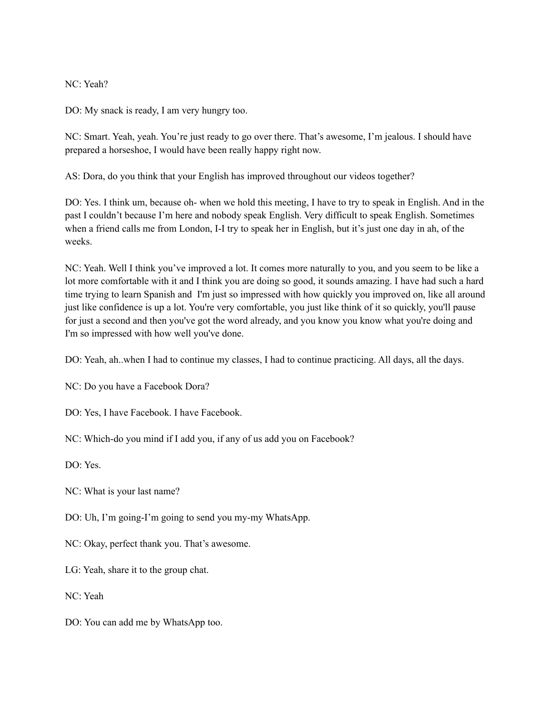#### NC: Yeah?

DO: My snack is ready, I am very hungry too.

NC: Smart. Yeah, yeah. You're just ready to go over there. That's awesome, I'm jealous. I should have prepared a horseshoe, I would have been really happy right now.

AS: Dora, do you think that your English has improved throughout our videos together?

DO: Yes. I think um, because oh- when we hold this meeting, I have to try to speak in English. And in the past I couldn't because I'm here and nobody speak English. Very difficult to speak English. Sometimes when a friend calls me from London, I-I try to speak her in English, but it's just one day in ah, of the weeks.

NC: Yeah. Well I think you've improved a lot. It comes more naturally to you, and you seem to be like a lot more comfortable with it and I think you are doing so good, it sounds amazing. I have had such a hard time trying to learn Spanish and I'm just so impressed with how quickly you improved on, like all around just like confidence is up a lot. You're very comfortable, you just like think of it so quickly, you'll pause for just a second and then you've got the word already, and you know you know what you're doing and I'm so impressed with how well you've done.

DO: Yeah, ah..when I had to continue my classes, I had to continue practicing. All days, all the days.

NC: Do you have a Facebook Dora?

DO: Yes, I have Facebook. I have Facebook.

NC: Which-do you mind if I add you, if any of us add you on Facebook?

DO: Yes.

NC: What is your last name?

DO: Uh, I'm going-I'm going to send you my-my WhatsApp.

NC: Okay, perfect thank you. That's awesome.

LG: Yeah, share it to the group chat.

NC: Yeah

DO: You can add me by WhatsApp too.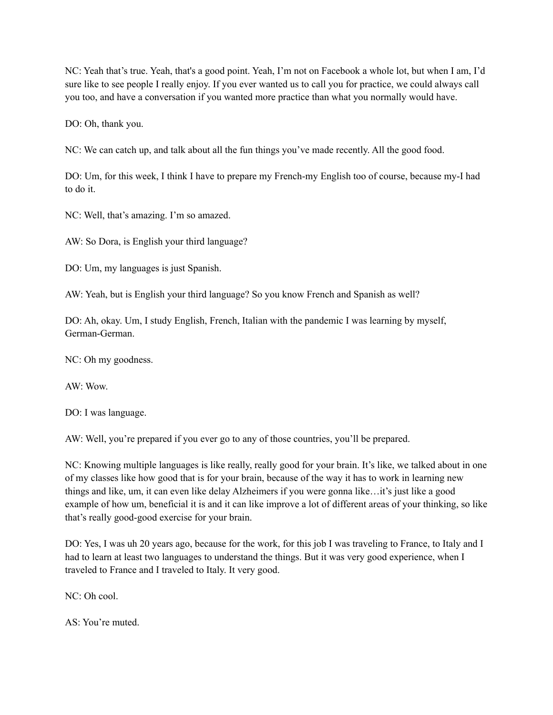NC: Yeah that's true. Yeah, that's a good point. Yeah, I'm not on Facebook a whole lot, but when I am, I'd sure like to see people I really enjoy. If you ever wanted us to call you for practice, we could always call you too, and have a conversation if you wanted more practice than what you normally would have.

DO: Oh, thank you.

NC: We can catch up, and talk about all the fun things you've made recently. All the good food.

DO: Um, for this week, I think I have to prepare my French-my English too of course, because my-I had to do it.

NC: Well, that's amazing. I'm so amazed.

AW: So Dora, is English your third language?

DO: Um, my languages is just Spanish.

AW: Yeah, but is English your third language? So you know French and Spanish as well?

DO: Ah, okay. Um, I study English, French, Italian with the pandemic I was learning by myself, German-German.

NC: Oh my goodness.

AW: Wow.

DO: I was language.

AW: Well, you're prepared if you ever go to any of those countries, you'll be prepared.

NC: Knowing multiple languages is like really, really good for your brain. It's like, we talked about in one of my classes like how good that is for your brain, because of the way it has to work in learning new things and like, um, it can even like delay Alzheimers if you were gonna like…it's just like a good example of how um, beneficial it is and it can like improve a lot of different areas of your thinking, so like that's really good-good exercise for your brain.

DO: Yes, I was uh 20 years ago, because for the work, for this job I was traveling to France, to Italy and I had to learn at least two languages to understand the things. But it was very good experience, when I traveled to France and I traveled to Italy. It very good.

NC: Oh cool.

AS: You're muted.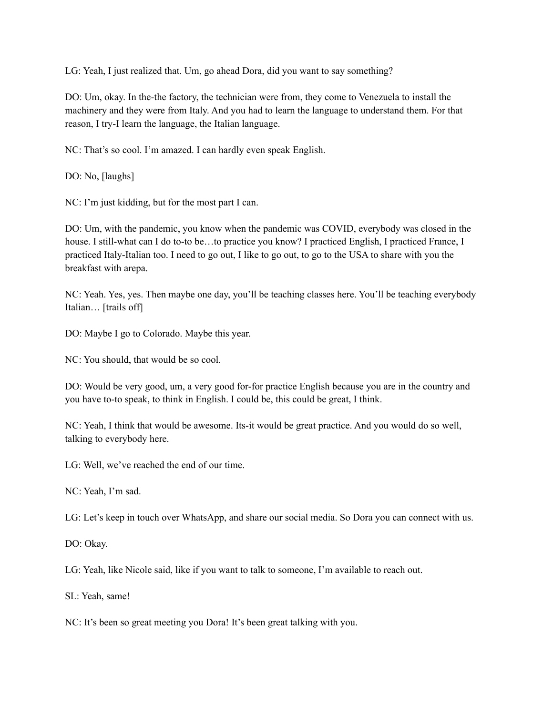LG: Yeah, I just realized that. Um, go ahead Dora, did you want to say something?

DO: Um, okay. In the-the factory, the technician were from, they come to Venezuela to install the machinery and they were from Italy. And you had to learn the language to understand them. For that reason, I try-I learn the language, the Italian language.

NC: That's so cool. I'm amazed. I can hardly even speak English.

DO: No, [laughs]

NC: I'm just kidding, but for the most part I can.

DO: Um, with the pandemic, you know when the pandemic was COVID, everybody was closed in the house. I still-what can I do to-to be…to practice you know? I practiced English, I practiced France, I practiced Italy-Italian too. I need to go out, I like to go out, to go to the USA to share with you the breakfast with arepa.

NC: Yeah. Yes, yes. Then maybe one day, you'll be teaching classes here. You'll be teaching everybody Italian… [trails off]

DO: Maybe I go to Colorado. Maybe this year.

NC: You should, that would be so cool.

DO: Would be very good, um, a very good for-for practice English because you are in the country and you have to-to speak, to think in English. I could be, this could be great, I think.

NC: Yeah, I think that would be awesome. Its-it would be great practice. And you would do so well, talking to everybody here.

LG: Well, we've reached the end of our time.

NC: Yeah, I'm sad.

LG: Let's keep in touch over WhatsApp, and share our social media. So Dora you can connect with us.

DO: Okay.

LG: Yeah, like Nicole said, like if you want to talk to someone, I'm available to reach out.

SL: Yeah, same!

NC: It's been so great meeting you Dora! It's been great talking with you.